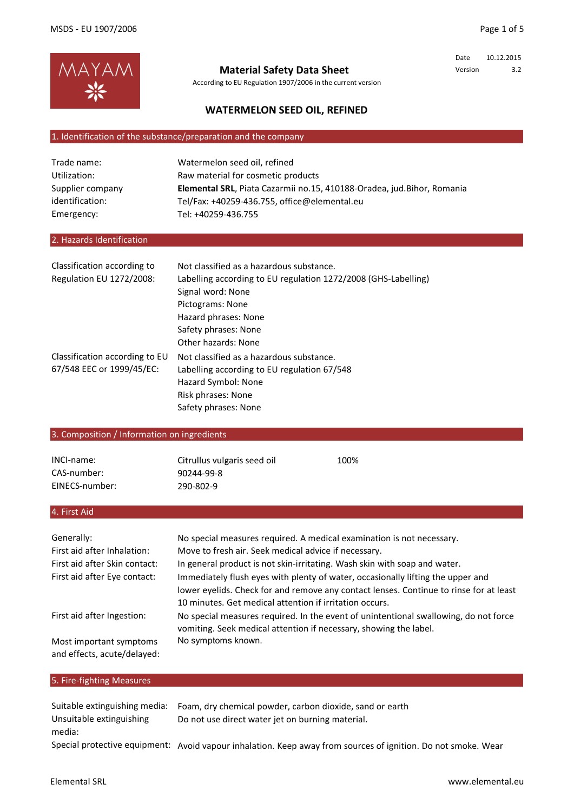

# **Material Safety Data Sheet**

According to EU Regulation 1907/2006 in the current version

Date 10.12.2015 Version 3.2

## **WATERMELON SEED OIL, REFINED**

# 1. Identification of the substance/preparation and the company

| Trade name:      | Watermelon seed oil, refined                                           |
|------------------|------------------------------------------------------------------------|
| Utilization:     | Raw material for cosmetic products                                     |
| Supplier company | Elemental SRL, Piata Cazarmii no.15, 410188-Oradea, jud.Bihor, Romania |
| identification:  | Tel/Fax: +40259-436.755. office@elemental.eu                           |
| Emergency:       | Tel: +40259-436.755                                                    |

#### 2. Hazards Identification

| Classification according to    | Not classified as a hazardous substance.                       |
|--------------------------------|----------------------------------------------------------------|
| Regulation EU 1272/2008:       | Labelling according to EU regulation 1272/2008 (GHS-Labelling) |
|                                | Signal word: None                                              |
|                                | Pictograms: None                                               |
|                                | Hazard phrases: None                                           |
|                                | Safety phrases: None                                           |
|                                | Other hazards: None                                            |
| Classification according to EU | Not classified as a hazardous substance.                       |
| 67/548 EEC or 1999/45/EC:      | Labelling according to EU regulation 67/548                    |
|                                | Hazard Symbol: None                                            |
|                                | Risk phrases: None                                             |
|                                | Safety phrases: None                                           |

### 3. Composition / Information on ingredients

| INCI-name:     | Citrullus vulgaris seed oil | 100% |
|----------------|-----------------------------|------|
| CAS-number:    | 90244-99-8                  |      |
| EINECS-number: | 290-802-9                   |      |

#### 4. First Aid

| Generally:                                             | No special measures required. A medical examination is not necessary.                                                                                                                                                                |
|--------------------------------------------------------|--------------------------------------------------------------------------------------------------------------------------------------------------------------------------------------------------------------------------------------|
| First aid after Inhalation:                            | Move to fresh air. Seek medical advice if necessary.                                                                                                                                                                                 |
| First aid after Skin contact:                          | In general product is not skin-irritating. Wash skin with soap and water.                                                                                                                                                            |
| First aid after Eye contact:                           | Immediately flush eyes with plenty of water, occasionally lifting the upper and<br>lower eyelids. Check for and remove any contact lenses. Continue to rinse for at least<br>10 minutes. Get medical attention if irritation occurs. |
| First aid after Ingestion:                             | No special measures required. In the event of unintentional swallowing, do not force<br>vomiting. Seek medical attention if necessary, showing the label.                                                                            |
| Most important symptoms<br>and effects, acute/delayed: | No symptoms known.                                                                                                                                                                                                                   |

## 5. Fire-fighting Measures

| Suitable extinguishing media: | Foam, dry chemical powder, carbon dioxide, sand or earth                                                      |
|-------------------------------|---------------------------------------------------------------------------------------------------------------|
| Unsuitable extinguishing      | Do not use direct water jet on burning material.                                                              |
| media:                        |                                                                                                               |
|                               | Special protective equipment: Avoid vapour inhalation. Keep away from sources of ignition. Do not smoke. Wear |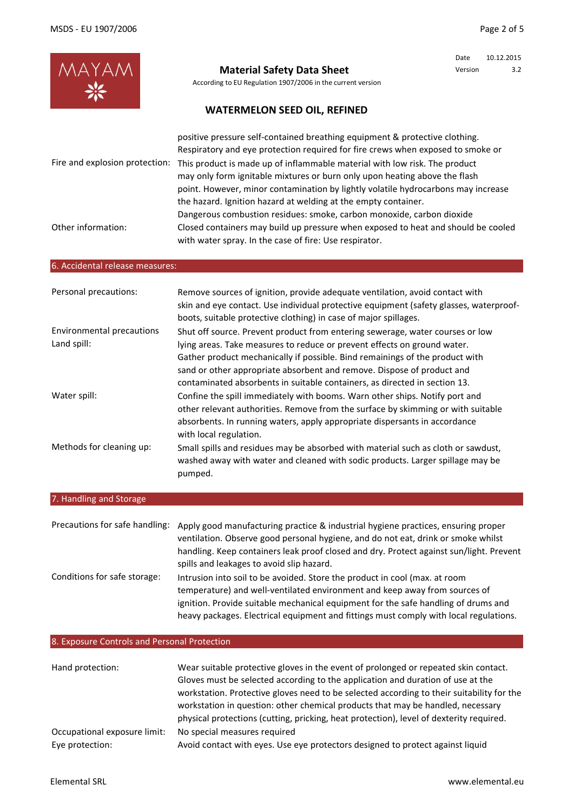| MAYAM<br>-                                      | <b>Material Safety Data Sheet</b><br>According to EU Regulation 1907/2006 in the current version<br><b>WATERMELON SEED OIL, REFINED</b>                                                                                                                                                                                                                                                                                                                                           | Date<br>Version | 10.12.2015<br>3.2 |
|-------------------------------------------------|-----------------------------------------------------------------------------------------------------------------------------------------------------------------------------------------------------------------------------------------------------------------------------------------------------------------------------------------------------------------------------------------------------------------------------------------------------------------------------------|-----------------|-------------------|
| Fire and explosion protection:                  | positive pressure self-contained breathing equipment & protective clothing.<br>Respiratory and eye protection required for fire crews when exposed to smoke or<br>This product is made up of inflammable material with low risk. The product<br>may only form ignitable mixtures or burn only upon heating above the flash<br>point. However, minor contamination by lightly volatile hydrocarbons may increase<br>the hazard. Ignition hazard at welding at the empty container. |                 |                   |
| Other information:                              | Dangerous combustion residues: smoke, carbon monoxide, carbon dioxide<br>Closed containers may build up pressure when exposed to heat and should be cooled<br>with water spray. In the case of fire: Use respirator.                                                                                                                                                                                                                                                              |                 |                   |
| 6. Accidental release measures:                 |                                                                                                                                                                                                                                                                                                                                                                                                                                                                                   |                 |                   |
| Personal precautions:                           | Remove sources of ignition, provide adequate ventilation, avoid contact with<br>skin and eye contact. Use individual protective equipment (safety glasses, waterproof-<br>boots, suitable protective clothing) in case of major spillages.                                                                                                                                                                                                                                        |                 |                   |
| <b>Environmental precautions</b><br>Land spill: | Shut off source. Prevent product from entering sewerage, water courses or low<br>lying areas. Take measures to reduce or prevent effects on ground water.<br>Gather product mechanically if possible. Bind remainings of the product with<br>sand or other appropriate absorbent and remove. Dispose of product and<br>contaminated absorbents in suitable containers, as directed in section 13.                                                                                 |                 |                   |
| Water spill:                                    | Confine the spill immediately with booms. Warn other ships. Notify port and<br>other relevant authorities. Remove from the surface by skimming or with suitable<br>absorbents. In running waters, apply appropriate dispersants in accordance<br>with local regulation.                                                                                                                                                                                                           |                 |                   |
| Methods for cleaning up:                        | Small spills and residues may be absorbed with material such as cloth or sawdust,<br>washed away with water and cleaned with sodic products. Larger spillage may be<br>pumped.                                                                                                                                                                                                                                                                                                    |                 |                   |
| 7. Handling and Storage                         |                                                                                                                                                                                                                                                                                                                                                                                                                                                                                   |                 |                   |
| Precautions for safe handling:                  | Apply good manufacturing practice & industrial hygiene practices, ensuring proper<br>ventilation. Observe good personal hygiene, and do not eat, drink or smoke whilst<br>handling. Keep containers leak proof closed and dry. Protect against sun/light. Prevent<br>spills and leakages to avoid slip hazard.                                                                                                                                                                    |                 |                   |
| Conditions for safe storage:                    | Intrusion into soil to be avoided. Store the product in cool (max. at room<br>temperature) and well-ventilated environment and keep away from sources of<br>ignition. Provide suitable mechanical equipment for the safe handling of drums and<br>heavy packages. Electrical equipment and fittings must comply with local regulations.                                                                                                                                           |                 |                   |

# 8. Exposure Controls and Personal Protection

| Hand protection:             | Wear suitable protective gloves in the event of prolonged or repeated skin contact.<br>Gloves must be selected according to the application and duration of use at the<br>workstation. Protective gloves need to be selected according to their suitability for the<br>workstation in question: other chemical products that may be handled, necessary<br>physical protections (cutting, pricking, heat protection), level of dexterity required. |
|------------------------------|---------------------------------------------------------------------------------------------------------------------------------------------------------------------------------------------------------------------------------------------------------------------------------------------------------------------------------------------------------------------------------------------------------------------------------------------------|
| Occupational exposure limit: | No special measures required                                                                                                                                                                                                                                                                                                                                                                                                                      |
| Eye protection:              | Avoid contact with eyes. Use eye protectors designed to protect against liquid                                                                                                                                                                                                                                                                                                                                                                    |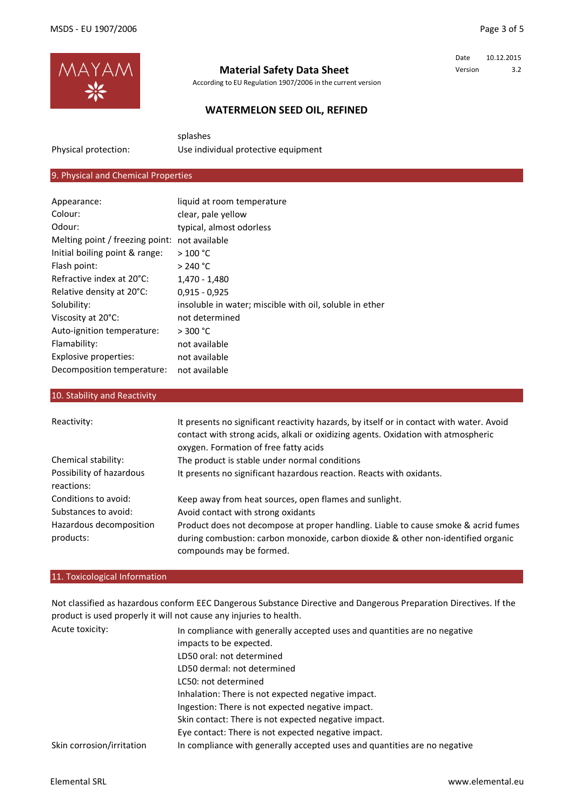Date 10.12.2015 Version 3.2



Physical protection:

## **Material Safety Data Sheet**

According to EU Regulation 1907/2006 in the current version

## **WATERMELON SEED OIL, REFINED**

splashes

Use individual protective equipment

## 9. Physical and Chemical Properties

| Appearance:                     | liquid at room temperature                              |
|---------------------------------|---------------------------------------------------------|
| Colour:                         | clear, pale yellow                                      |
| Odour:                          | typical, almost odorless                                |
| Melting point / freezing point: | not available                                           |
| Initial boiling point & range:  | >100 °C                                                 |
| Flash point:                    | $>$ 240 °C                                              |
| Refractive index at 20°C:       | 1,470 - 1,480                                           |
| Relative density at 20°C:       | $0.915 - 0.925$                                         |
| Solubility:                     | insoluble in water; miscible with oil, soluble in ether |
| Viscosity at 20°C:              | not determined                                          |
| Auto-ignition temperature:      | > 300 °C                                                |
| Flamability:                    | not available                                           |
| Explosive properties:           | not available                                           |
| Decomposition temperature:      | not available                                           |
|                                 |                                                         |

### 10. Stability and Reactivity

| Reactivity:                            | It presents no significant reactivity hazards, by itself or in contact with water. Avoid<br>contact with strong acids, alkali or oxidizing agents. Oxidation with atmospheric<br>oxygen. Formation of free fatty acids |
|----------------------------------------|------------------------------------------------------------------------------------------------------------------------------------------------------------------------------------------------------------------------|
| Chemical stability:                    | The product is stable under normal conditions                                                                                                                                                                          |
| Possibility of hazardous<br>reactions: | It presents no significant hazardous reaction. Reacts with oxidants.                                                                                                                                                   |
| Conditions to avoid:                   | Keep away from heat sources, open flames and sunlight.                                                                                                                                                                 |
| Substances to avoid:                   | Avoid contact with strong oxidants                                                                                                                                                                                     |
| Hazardous decomposition                | Product does not decompose at proper handling. Liable to cause smoke & acrid fumes                                                                                                                                     |
| products:                              | during combustion: carbon monoxide, carbon dioxide & other non-identified organic<br>compounds may be formed.                                                                                                          |

#### 11. Toxicological Information

Acute toxicity: Not classified as hazardous conform EEC Dangerous Substance Directive and Dangerous Preparation Directives. If the product is used properly it will not cause any injuries to health.

| Acute toxicity:           | In compliance with generally accepted uses and quantities are no negative |
|---------------------------|---------------------------------------------------------------------------|
|                           | impacts to be expected.                                                   |
|                           | LD50 oral: not determined                                                 |
|                           | LD50 dermal: not determined                                               |
|                           | LC50: not determined                                                      |
|                           | Inhalation: There is not expected negative impact.                        |
|                           | Ingestion: There is not expected negative impact.                         |
|                           | Skin contact: There is not expected negative impact.                      |
|                           | Eye contact: There is not expected negative impact.                       |
| Skin corrosion/irritation | In compliance with generally accepted uses and quantities are no negative |
|                           |                                                                           |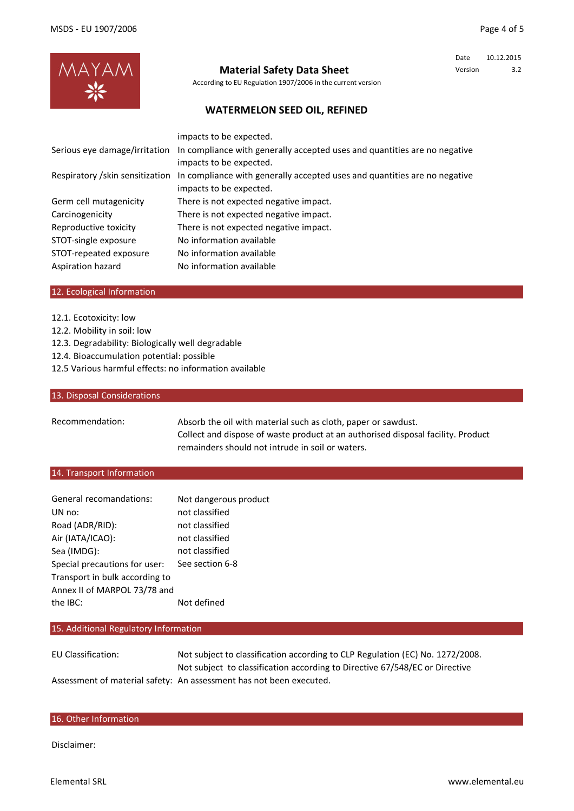Date 10.12.2015 Version 3.2



## **Material Safety Data Sheet**

According to EU Regulation 1907/2006 in the current version

## **WATERMELON SEED OIL, REFINED**

|                                  | Serious eye damage/irritation In compliance with generally accepted uses and quantities are no negative |
|----------------------------------|---------------------------------------------------------------------------------------------------------|
|                                  | impacts to be expected.                                                                                 |
| Respiratory / skin sensitization | In compliance with generally accepted uses and quantities are no negative                               |
|                                  | impacts to be expected.                                                                                 |
| Germ cell mutagenicity           | There is not expected negative impact.                                                                  |
| Carcinogenicity                  | There is not expected negative impact.                                                                  |
| Reproductive toxicity            | There is not expected negative impact.                                                                  |
| STOT-single exposure             | No information available                                                                                |
| STOT-repeated exposure           | No information available                                                                                |
| Aspiration hazard                | No information available                                                                                |

#### 12. Ecological Information

- 12.1. Ecotoxicity: low
- 12.2. Mobility in soil: low
- 12.3. Degradability: Biologically well degradable
- 12.4. Bioaccumulation potential: possible
- 12.5 Various harmful effects: no information available

#### 13. Disposal Considerations

Recommendation:

Absorb the oil with material such as cloth, paper or sawdust. Collect and dispose of waste product at an authorised disposal facility. Product remainders should not intrude in soil or waters.

#### 14. Transport Information

| General recomandations:        | Not dangerous product |
|--------------------------------|-----------------------|
| UN no:                         | not classified        |
| Road (ADR/RID):                | not classified        |
| Air (IATA/ICAO):               | not classified        |
| Sea (IMDG):                    | not classified        |
| Special precautions for user:  | See section 6-8       |
| Transport in bulk according to |                       |
| Annex II of MARPOL 73/78 and   |                       |
| the $\overline{BC}$ :          | Not defined           |

#### 15. Additional Regulatory Information

EU Classification: Assessment of material safety: An assessment has not been executed. Not subject to classification according to Directive 67/548/EC or Directive Not subject to classification according to CLP Regulation (EC) No. 1272/2008.

#### 16. Other Information

Disclaimer: